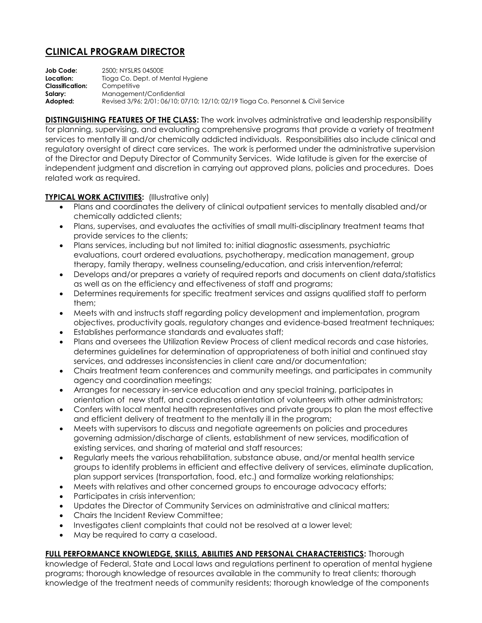## **CLINICAL PROGRAM DIRECTOR**

**Job Code:** 2500; NYSLRS 04500E **Location:** Tioga Co. Dept. of Mental Hygiene **Classification:** Competitive **Salary:** Management/Confidential **Adopted:** Revised 3/96; 2/01; 06/10; 07/10; 12/10; 02/19 Tioga Co. Personnel & Civil Service

**DISTINGUISHING FEATURES OF THE CLASS:** The work involves administrative and leadership responsibility for planning, supervising, and evaluating comprehensive programs that provide a variety of treatment services to mentally ill and/or chemically addicted individuals. Responsibilities also include clinical and regulatory oversight of direct care services. The work is performed under the administrative supervision of the Director and Deputy Director of Community Services. Wide latitude is given for the exercise of independent judgment and discretion in carrying out approved plans, policies and procedures. Does related work as required.

## **TYPICAL WORK ACTIVITIES:** (Illustrative only)

- Plans and coordinates the delivery of clinical outpatient services to mentally disabled and/or chemically addicted clients;
- Plans, supervises, and evaluates the activities of small multi-disciplinary treatment teams that provide services to the clients;
- Plans services, including but not limited to: initial diagnostic assessments, psychiatric evaluations, court ordered evaluations, psychotherapy, medication management, group therapy, family therapy, wellness counseling/education, and crisis intervention/referral;
- Develops and/or prepares a variety of required reports and documents on client data/statistics as well as on the efficiency and effectiveness of staff and programs;
- Determines requirements for specific treatment services and assigns qualified staff to perform them;
- Meets with and instructs staff regarding policy development and implementation, program objectives, productivity goals, regulatory changes and evidence-based treatment techniques;
- Establishes performance standards and evaluates staff;
- Plans and oversees the Utilization Review Process of client medical records and case histories, determines guidelines for determination of appropriateness of both initial and continued stay services, and addresses inconsistencies in client care and/or documentation;
- Chairs treatment team conferences and community meetings, and participates in community agency and coordination meetings;
- Arranges for necessary in-service education and any special training, participates in orientation of new staff, and coordinates orientation of volunteers with other administrators;
- Confers with local mental health representatives and private groups to plan the most effective and efficient delivery of treatment to the mentally ill in the program;
- Meets with supervisors to discuss and negotiate agreements on policies and procedures governing admission/discharge of clients, establishment of new services, modification of existing services, and sharing of material and staff resources;
- Regularly meets the various rehabilitation, substance abuse, and/or mental health service groups to identify problems in efficient and effective delivery of services, eliminate duplication, plan support services (transportation, food, etc.) and formalize working relationships;
- Meets with relatives and other concerned groups to encourage advocacy efforts;
- Participates in crisis intervention;
- Updates the Director of Community Services on administrative and clinical matters;
- Chairs the Incident Review Committee:
- Investigates client complaints that could not be resolved at a lower level;
- May be required to carry a caseload.

## **FULL PERFORMANCE KNOWLEDGE, SKILLS, ABILITIES AND PERSONAL CHARACTERISTICS:** Thorough

knowledge of Federal, State and Local laws and regulations pertinent to operation of mental hygiene programs; thorough knowledge of resources available in the community to treat clients; thorough knowledge of the treatment needs of community residents; thorough knowledge of the components